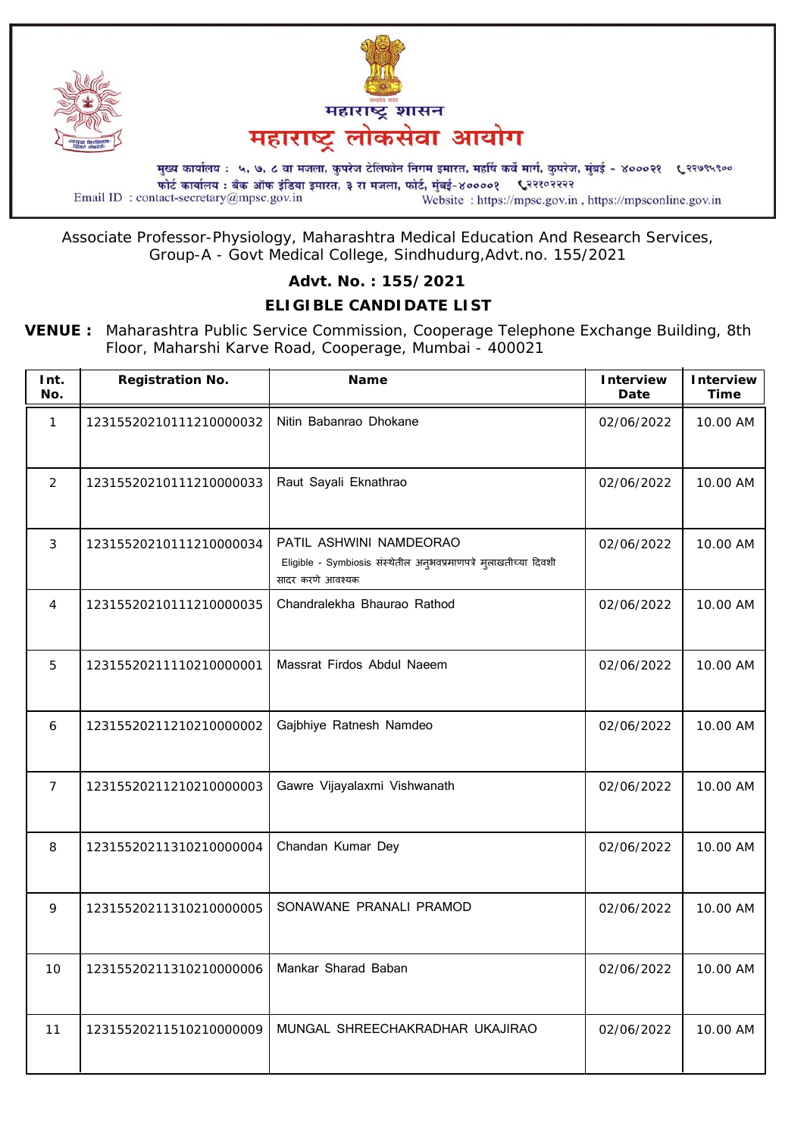



फोर्ट कार्यालय : बँक ऑफ इंडिया इमारत, ३ रा मजला, फोर्ट, मुंबई-४००००१ ९२१०२२२२ Email ID: contact-secretary@mpsc.gov.in Website: https://mpsc.gov.in, https://mpsconline.gov.in

Associate Professor-Physiology, Maharashtra Medical Education And Research Services, Group-A - Govt Medical College, Sindhudurg,Advt.no. 155/2021

### **Advt. No. : 155/2021**

# **ELIGIBLE CANDIDATE LIST**

**VENUE :** Maharashtra Public Service Commission, Cooperage Telephone Exchange Building, 8th Floor, Maharshi Karve Road, Cooperage, Mumbai - 400021

| Int.<br>No.     | <b>Registration No.</b> | Name                                                                                                             | <b>Interview</b><br>Date | <b>Interview</b><br><b>Time</b> |
|-----------------|-------------------------|------------------------------------------------------------------------------------------------------------------|--------------------------|---------------------------------|
| $\mathbf{1}$    | 12315520210111210000032 | Nitin Babanrao Dhokane                                                                                           | 02/06/2022               | 10.00 AM                        |
| 2               | 12315520210111210000033 | Raut Sayali Eknathrao                                                                                            | 02/06/2022               | 10.00 AM                        |
| 3               | 12315520210111210000034 | PATIL ASHWINI NAMDEORAO<br>Eligible - Symbiosis संस्थेतील अनुभवप्रमाणपत्रे मुलाखतीच्या दिवशी<br>सादर करणे आवश्यक | 02/06/2022               | 10.00 AM                        |
| 4               | 12315520210111210000035 | Chandralekha Bhaurao Rathod                                                                                      | 02/06/2022               | 10.00 AM                        |
| 5               | 12315520211110210000001 | Massrat Firdos Abdul Naeem                                                                                       | 02/06/2022               | 10.00 AM                        |
| 6               | 12315520211210210000002 | Gajbhiye Ratnesh Namdeo                                                                                          | 02/06/2022               | 10.00 AM                        |
| $\overline{7}$  | 12315520211210210000003 | Gawre Vijayalaxmi Vishwanath                                                                                     | 02/06/2022               | 10.00 AM                        |
| 8               | 12315520211310210000004 | Chandan Kumar Dey                                                                                                | 02/06/2022               | 10.00 AM                        |
| 9               | 12315520211310210000005 | SONAWANE PRANALI PRAMOD                                                                                          | 02/06/2022               | 10.00 AM                        |
| 10 <sup>°</sup> | 12315520211310210000006 | Mankar Sharad Baban                                                                                              | 02/06/2022               | 10.00 AM                        |
| 11              | 12315520211510210000009 | MUNGAL SHREECHAKRADHAR UKAJIRAO                                                                                  | 02/06/2022               | 10.00 AM                        |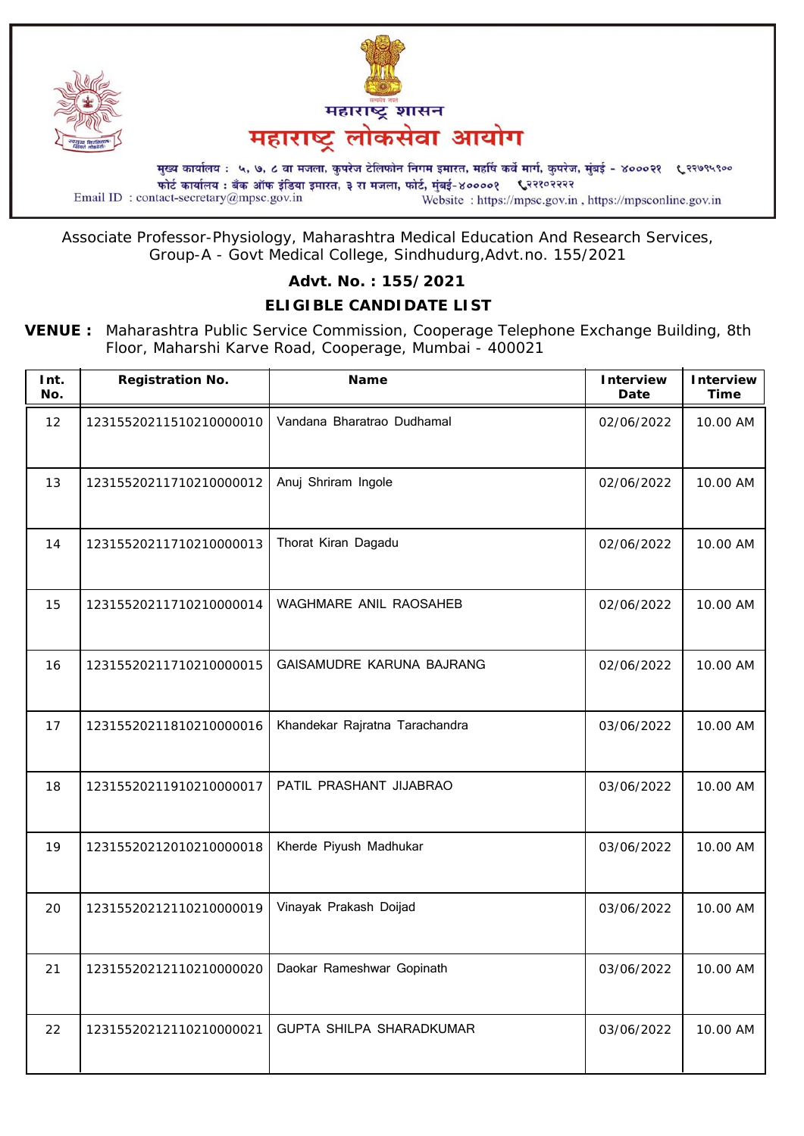



फोर्ट कार्यालय : बँक ऑफ इंडिया इमारत, ३ रा मजला, फोर्ट, मुंबई-४००००१ ९२१०२२२२ Email ID: contact-secretary@mpsc.gov.in Website: https://mpsc.gov.in, https://mpsconline.gov.in

Associate Professor-Physiology, Maharashtra Medical Education And Research Services, Group-A - Govt Medical College, Sindhudurg,Advt.no. 155/2021

### **Advt. No. : 155/2021**

# **ELIGIBLE CANDIDATE LIST**

**VENUE :** Maharashtra Public Service Commission, Cooperage Telephone Exchange Building, 8th Floor, Maharshi Karve Road, Cooperage, Mumbai - 400021

| Int.<br>No. | <b>Registration No.</b>                             | <b>Name</b>                    | <b>Interview</b><br>Date | Interview<br><b>Time</b> |
|-------------|-----------------------------------------------------|--------------------------------|--------------------------|--------------------------|
| 12          | 12315520211510210000010                             | Vandana Bharatrao Dudhamal     | 02/06/2022               | 10.00 AM                 |
| 13          | 12315520211710210000012                             | Anuj Shriram Ingole            | 02/06/2022               | 10.00 AM                 |
| 14          | 12315520211710210000013                             | Thorat Kiran Dagadu            | 02/06/2022               | 10.00 AM                 |
| 15          | 12315520211710210000014                             | WAGHMARE ANIL RAOSAHEB         | 02/06/2022               | 10.00 AM                 |
| 16          | 12315520211710210000015                             | GAISAMUDRE KARUNA BAJRANG      | 02/06/2022               | 10.00 AM                 |
| 17          | 12315520211810210000016                             | Khandekar Rajratna Tarachandra | 03/06/2022               | 10.00 AM                 |
| 18          | 12315520211910210000017                             | PATIL PRASHANT JIJABRAO        | 03/06/2022               | 10.00 AM                 |
| 19          | 12315520212010210000018                             | Kherde Piyush Madhukar         | 03/06/2022               | 10.00 AM                 |
| 20          | 12315520212110210000019                             | Vinayak Prakash Doijad         | 03/06/2022               | 10.00 AM                 |
| 21          | 12315520212110210000020   Daokar Rameshwar Gopinath |                                | 03/06/2022               | 10.00 AM                 |
| 22          | 12315520212110210000021                             | GUPTA SHILPA SHARADKUMAR       | 03/06/2022               | 10.00 AM                 |